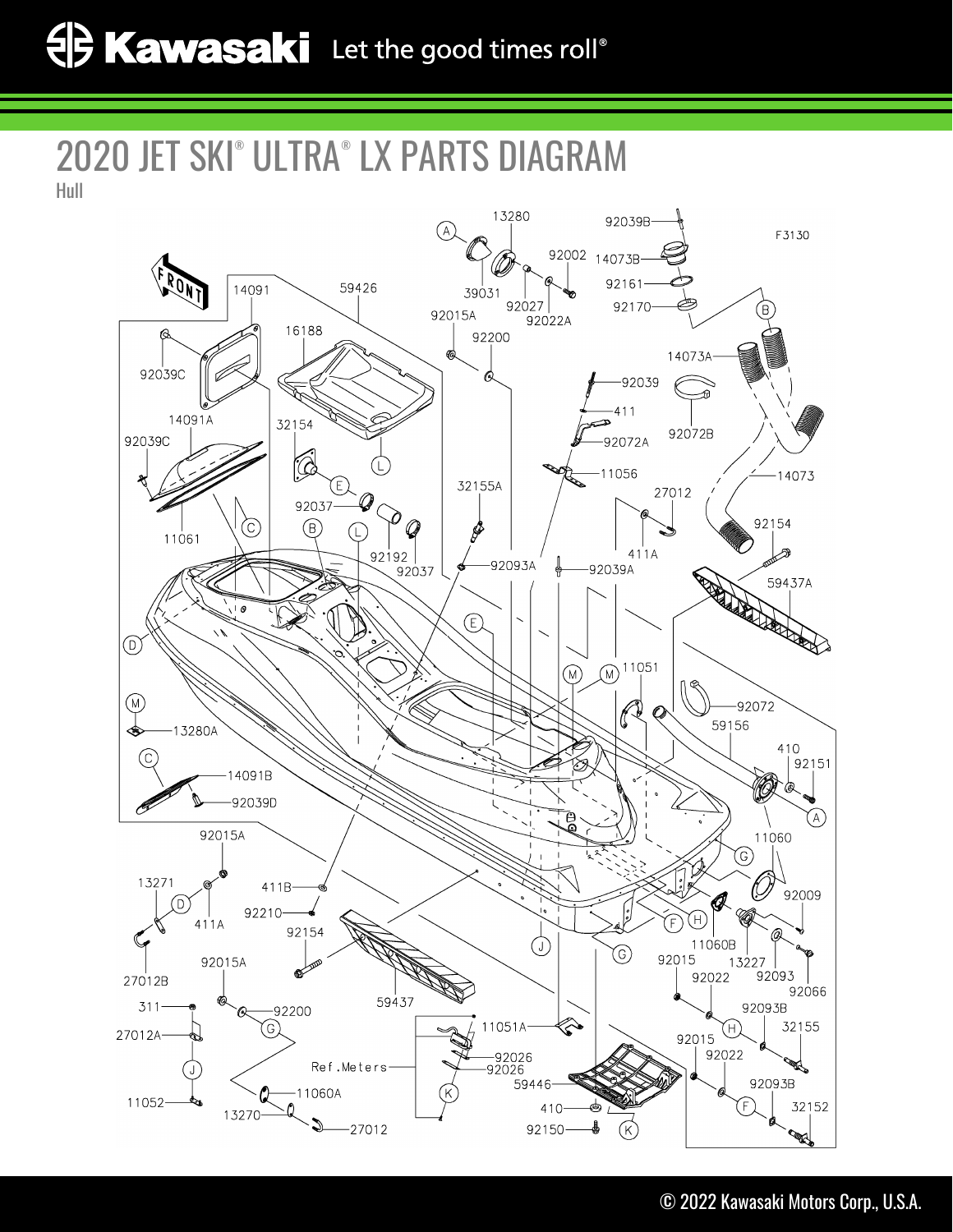## 2020 JET SKI® ULTRA® LX PARTS DIAGRAM Hull

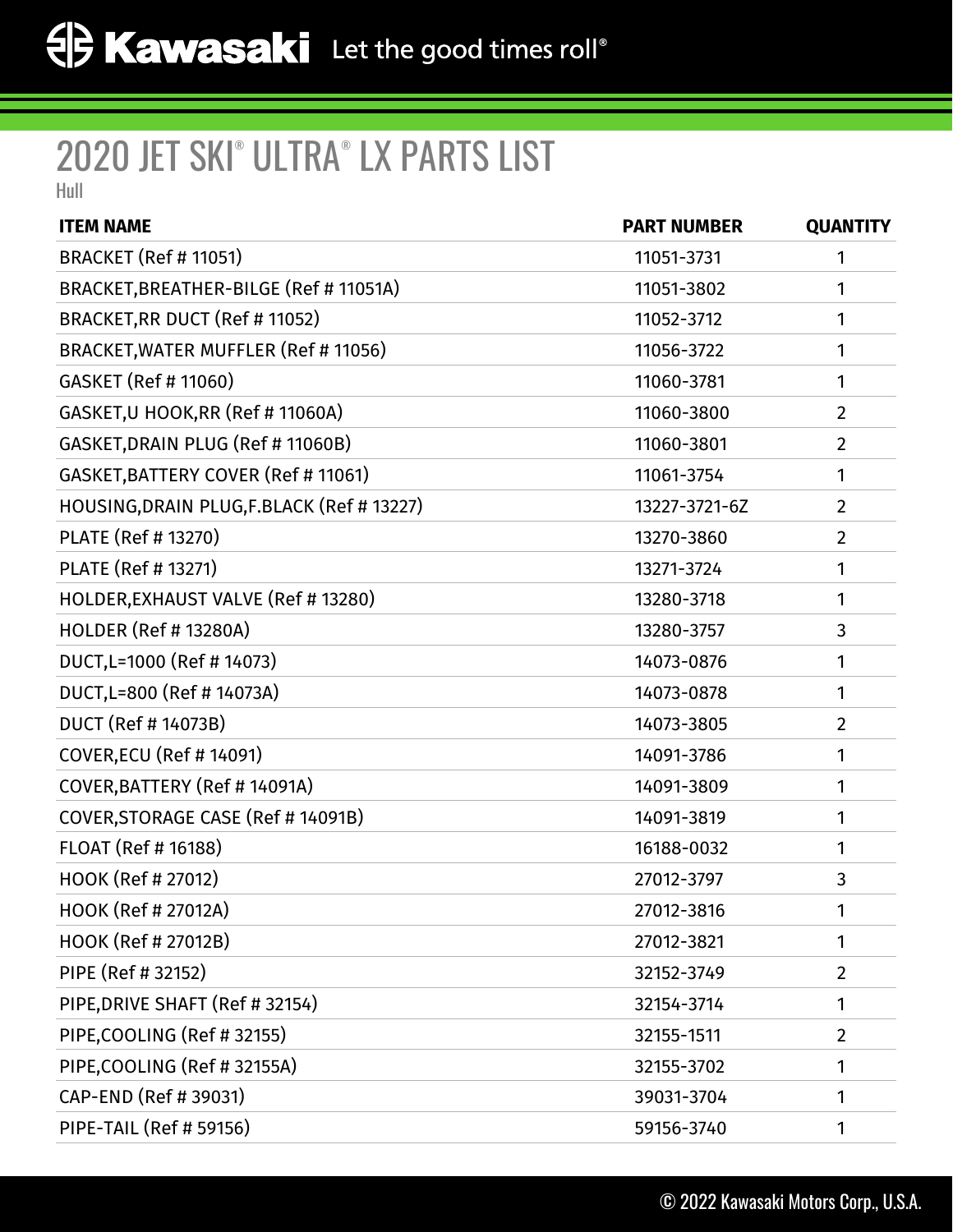## 2020 JET SKI® ULTRA® LX PARTS LIST

Hull

| <b>ITEM NAME</b>                           | <b>PART NUMBER</b> | <b>QUANTITY</b> |
|--------------------------------------------|--------------------|-----------------|
| <b>BRACKET (Ref # 11051)</b>               | 11051-3731         | 1               |
| BRACKET, BREATHER-BILGE (Ref # 11051A)     | 11051-3802         | 1               |
| BRACKET, RR DUCT (Ref # 11052)             | 11052-3712         | 1               |
| BRACKET, WATER MUFFLER (Ref # 11056)       | 11056-3722         | 1               |
| GASKET (Ref # 11060)                       | 11060-3781         | 1               |
| GASKET, U HOOK, RR (Ref # 11060A)          | 11060-3800         | $\overline{2}$  |
| GASKET, DRAIN PLUG (Ref # 11060B)          | 11060-3801         | 2               |
| GASKET, BATTERY COVER (Ref # 11061)        | 11061-3754         | 1               |
| HOUSING, DRAIN PLUG, F.BLACK (Ref # 13227) | 13227-3721-6Z      | $\overline{2}$  |
| PLATE (Ref # 13270)                        | 13270-3860         | 2               |
| PLATE (Ref # 13271)                        | 13271-3724         | 1               |
| HOLDER, EXHAUST VALVE (Ref # 13280)        | 13280-3718         | 1               |
| <b>HOLDER (Ref # 13280A)</b>               | 13280-3757         | 3               |
| DUCT, L=1000 (Ref #14073)                  | 14073-0876         | 1               |
| DUCT, L=800 (Ref #14073A)                  | 14073-0878         | 1               |
| <b>DUCT (Ref #14073B)</b>                  | 14073-3805         | 2               |
| <b>COVER, ECU (Ref #14091)</b>             | 14091-3786         | 1               |
| COVER, BATTERY (Ref # 14091A)              | 14091-3809         | 1               |
| COVER, STORAGE CASE (Ref #14091B)          | 14091-3819         | 1               |
| FLOAT (Ref # 16188)                        | 16188-0032         | 1               |
| HOOK (Ref # 27012)                         | 27012-3797         | 3               |
| HOOK (Ref # 27012A)                        | 27012-3816         |                 |
| <b>HOOK (Ref # 27012B)</b>                 | 27012-3821         | 1               |
| PIPE (Ref # 32152)                         | 32152-3749         | $\overline{2}$  |
| PIPE, DRIVE SHAFT (Ref # 32154)            | 32154-3714         | 1               |
| PIPE, COOLING (Ref #32155)                 | 32155-1511         | $\overline{2}$  |
| PIPE, COOLING (Ref # 32155A)               | 32155-3702         | 1               |
| CAP-END (Ref # 39031)                      | 39031-3704         | 1               |
| <b>PIPE-TAIL (Ref # 59156)</b>             | 59156-3740         | 1               |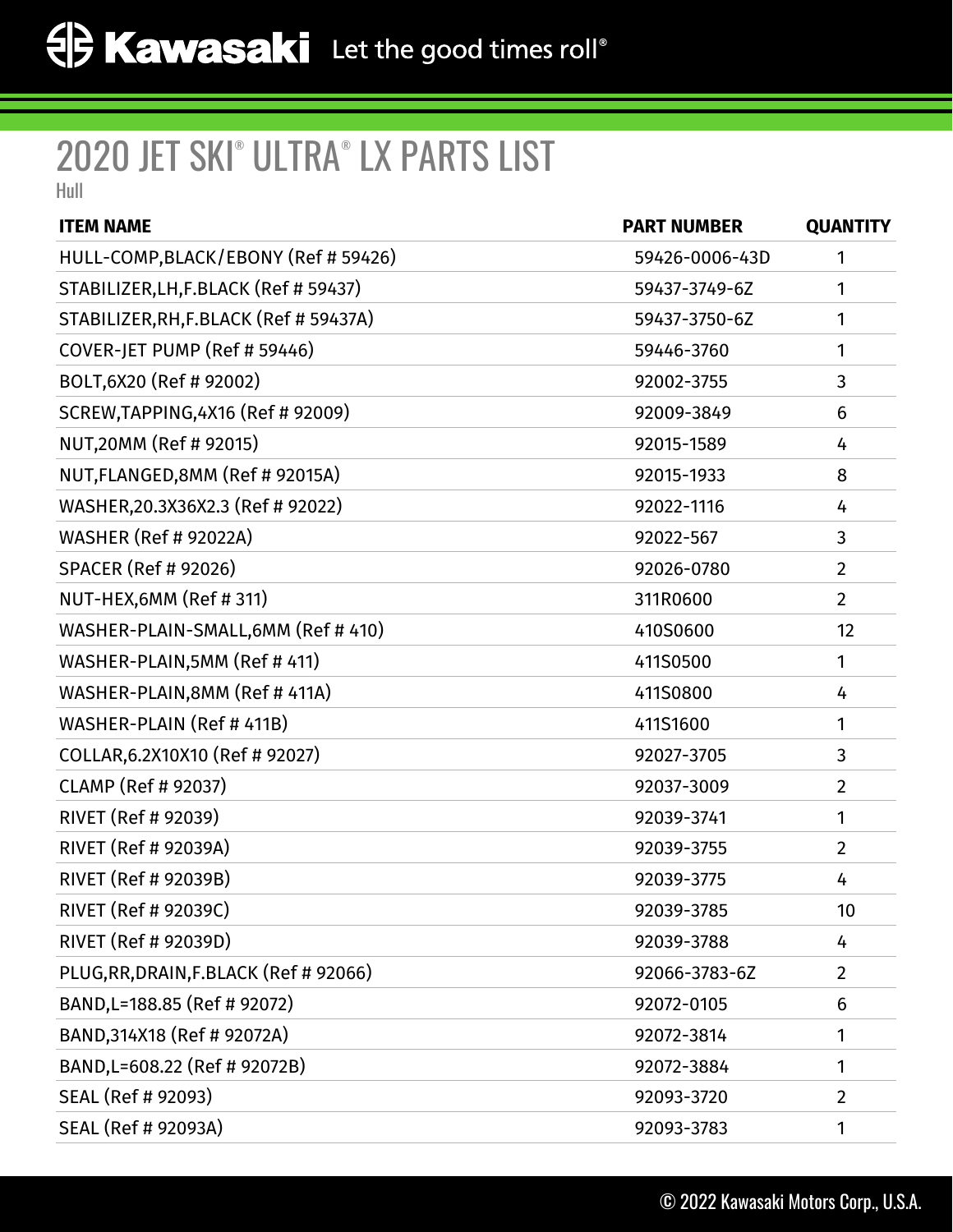## 2020 JET SKI® ULTRA® LX PARTS LIST

Hull

| <b>ITEM NAME</b>                       | <b>PART NUMBER</b> | <b>QUANTITY</b> |
|----------------------------------------|--------------------|-----------------|
| HULL-COMP, BLACK/EBONY (Ref # 59426)   | 59426-0006-43D     | 1               |
| STABILIZER, LH, F.BLACK (Ref # 59437)  | 59437-3749-6Z      | 1               |
| STABILIZER, RH, F.BLACK (Ref # 59437A) | 59437-3750-6Z      | 1               |
| COVER-JET PUMP (Ref # 59446)           | 59446-3760         | 1               |
| BOLT, 6X20 (Ref # 92002)               | 92002-3755         | 3               |
| SCREW, TAPPING, 4X16 (Ref # 92009)     | 92009-3849         | 6               |
| NUT,20MM (Ref # 92015)                 | 92015-1589         | 4               |
| NUT, FLANGED, 8MM (Ref # 92015A)       | 92015-1933         | 8               |
| WASHER, 20.3X36X2.3 (Ref # 92022)      | 92022-1116         | 4               |
| <b>WASHER (Ref # 92022A)</b>           | 92022-567          | 3               |
| <b>SPACER (Ref # 92026)</b>            | 92026-0780         | $\overline{2}$  |
| NUT-HEX,6MM (Ref #311)                 | 311R0600           | $\overline{2}$  |
| WASHER-PLAIN-SMALL, 6MM (Ref # 410)    | 410S0600           | 12              |
| WASHER-PLAIN, 5MM (Ref # 411)          | 411S0500           | 1               |
| WASHER-PLAIN,8MM (Ref # 411A)          | 411S0800           | 4               |
| WASHER-PLAIN (Ref # 411B)              | 411S1600           | 1               |
| COLLAR, 6.2X10X10 (Ref # 92027)        | 92027-3705         | 3               |
| <b>CLAMP (Ref # 92037)</b>             | 92037-3009         | $\overline{2}$  |
| RIVET (Ref # 92039)                    | 92039-3741         | 1               |
| RIVET (Ref # 92039A)                   | 92039-3755         | $\overline{2}$  |
| RIVET (Ref # 92039B)                   | 92039-3775         | 4               |
| RIVET (Ref # 92039C)                   | 92039-3785         | 10              |
| RIVET (Ref # 92039D)                   | 92039-3788         | 4               |
| PLUG, RR, DRAIN, F.BLACK (Ref # 92066) | 92066-3783-6Z      | $\overline{2}$  |
| BAND, L=188.85 (Ref # 92072)           | 92072-0105         | 6               |
| BAND, 314X18 (Ref # 92072A)            | 92072-3814         | 1               |
| BAND, L=608.22 (Ref # 92072B)          | 92072-3884         | 1               |
| SEAL (Ref # 92093)                     | 92093-3720         | $\overline{2}$  |
| SEAL (Ref # 92093A)                    | 92093-3783         | 1               |